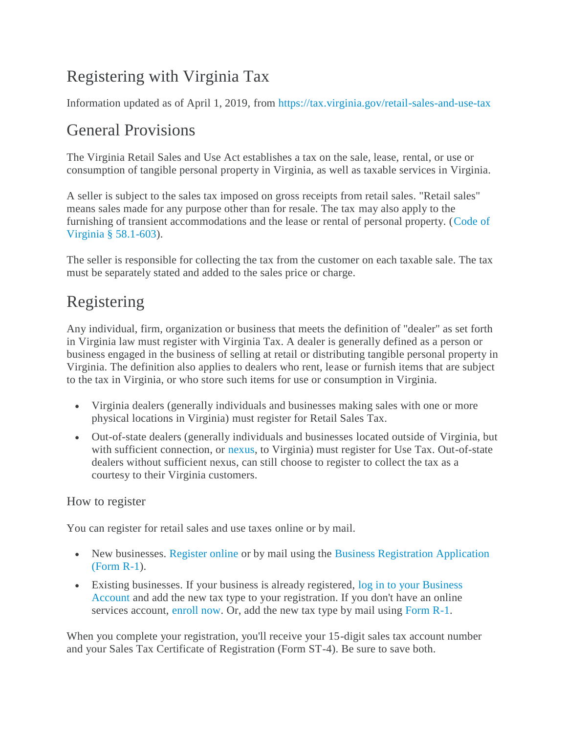# Registering with Virginia Tax

Information updated as of April 1, 2019, from<https://tax.virginia.gov/retail-sales-and-use-tax>

### General Provisions

The Virginia Retail Sales and Use Act establishes a tax on the sale, lease, rental, or use or consumption of tangible personal property in Virginia, as well as taxable services in Virginia.

A seller is subject to the sales tax imposed on gross receipts from retail sales. "Retail sales" means sales made for any purpose other than for resale. The tax may also apply to the furnishing of transient accommodations and the lease or rental of personal property. [\(Code of](https://law.lis.virginia.gov/vacode/title58.1/chapter6/section58.1-603/)  [Virginia § 58.1-603\)](https://law.lis.virginia.gov/vacode/title58.1/chapter6/section58.1-603/).

The seller is responsible for collecting the tax from the customer on each taxable sale. The tax must be separately stated and added to the sales price or charge.

## Registering

Any individual, firm, organization or business that meets the definition of "dealer" as set forth in Virginia law must register with Virginia Tax. A dealer is generally defined as a person or business engaged in the business of selling at retail or distributing tangible personal property in Virginia. The definition also applies to dealers who rent, lease or furnish items that are subject to the tax in Virginia, or who store such items for use or consumption in Virginia.

- Virginia dealers (generally individuals and businesses making sales with one or more physical locations in Virginia) must register for Retail Sales Tax.
- Out-of-state dealers (generally individuals and businesses located outside of Virginia, but with sufficient connection, or [nexus,](https://law.lis.virginia.gov/vacode/title58.1/chapter6/section58.1-612/) to Virginia) must register for Use Tax. Out-of-state dealers without sufficient nexus, can still choose to register to collect the tax as a courtesy to their Virginia customers.

### How to register

You can register for retail sales and use taxes online or by mail.

- New businesses. [Register online](https://www.business.tax.virginia.gov/VTOL/Login.seam?actionMethod=Login.xhtml%3AiregProcess.selectProcess%28%27registerTax%27%29) or by mail using the Business Registration Application [\(Form R-1\)](https://tax.virginia.gov/forms/search?search=Business+Registration&year=All&category=All&type=All&items_per_page=25).
- Existing businesses. If your business is already registered, [log in to your Business](https://www.business.tax.virginia.gov/VTOL/Login.seam)  [Account](https://www.business.tax.virginia.gov/VTOL/Login.seam) and add the new tax type to your registration. If you don't have an online services account, [enroll now.](https://www.business.tax.virginia.gov/VTOL/tax/SignUp.xhtml) Or, add the new tax type by mail using [Form R-1.](https://tax.virginia.gov/forms/search?search=Business+Registration&year=All&category=All&type=All&items_per_page=25)

When you complete your registration, you'll receive your 15-digit sales tax account number and your Sales Tax Certificate of Registration (Form ST-4). Be sure to save both.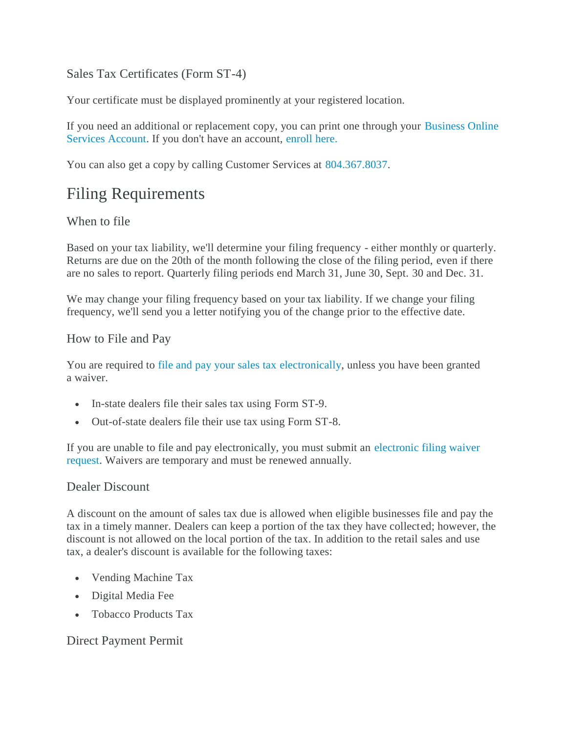### Sales Tax Certificates (Form ST-4)

Your certificate must be displayed prominently at your registered location.

If you need an additional or replacement copy, you can print one through your [Business Online](https://www.ireg.tax.virginia.gov/VTOL/Login.seam)  Services [Account.](https://www.ireg.tax.virginia.gov/VTOL/Login.seam) If you don't have an account, [enroll here.](https://www.business.tax.virginia.gov/VTOL/SignUp.seam?actionMethod=Login.xhtml%3AloginClient.navigateBetweenPreLoginPages&conversationId=9680)

You can also get a copy by calling Customer Services at [804.367.8037.](tel://(804)-367-8037/)

## Filing Requirements

### When to file

Based on your tax liability, we'll determine your filing frequency - either monthly or quarterly. Returns are due on the 20th of the month following the close of the filing period, even if there are no sales to report. Quarterly filing periods end March 31, June 30, Sept. 30 and Dec. 31.

We may change your filing frequency based on your tax liability. If we change your filing frequency, we'll send you a letter notifying you of the change prior to the effective date.

#### How to File and Pay

You are required to [file and pay your sales tax](https://tax.virginia.gov/sales-and-use-tax) electronically, unless you have been granted a waiver.

- In-state dealers file their sales tax using Form ST-9.
- Out-of-state dealers file their use tax using Form ST-8.

If you are unable to file and pay electronically, you must submit an [electronic filing waiver](https://tax.virginia.gov/forms/search?search=Waiver&year=All&category=42&type=All)  [request.](https://tax.virginia.gov/forms/search?search=Waiver&year=All&category=42&type=All) Waivers are temporary and must be renewed annually.

#### Dealer Discount

A discount on the amount of sales tax due is allowed when eligible businesses file and pay the tax in a timely manner. Dealers can keep a portion of the tax they have collected; however, the discount is not allowed on the local portion of the tax. In addition to the retail sales and use tax, a dealer's discount is available for the following taxes:

- Vending Machine Tax
- Digital Media Fee
- Tobacco Products Tax

### Direct Payment Permit